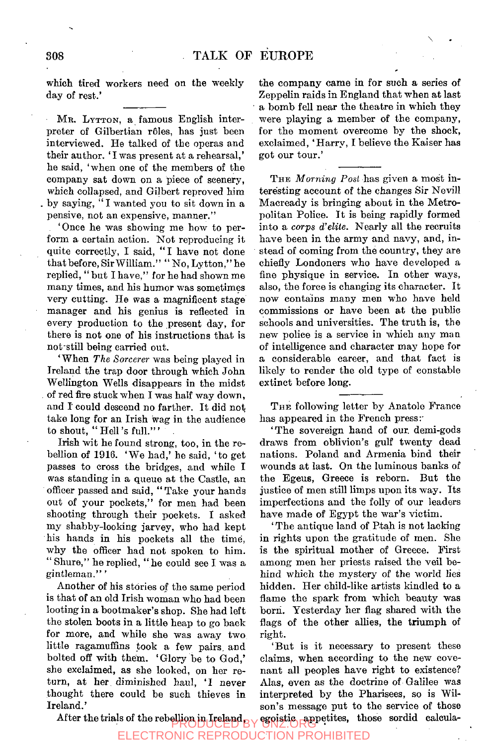which tired workers need on the weekly day of rest.'

MR. LYTTON, a famous English interpreter of Gilbertian roles, has just been interviewed. He talked of the operas and their author. 'I was present at a rehearsal,' he said, 'when one of the members of the company sat down on a piece of scenery, which collapsed, and Gilbert reproved him . by saying, " I wanted you to sit down in a pensive, not an expensive, manner."

'Once he was showing me how to perform a certain action. Not reproducing it quite correctly, I said, "I have not done that before, Sir William." " No, Lytton," he replied, " but I have," for he had shown me many times, and his humor was sometimes very cutting. He was a magnificent stage manager and his genius is reflected in every production to the present day, for there is not one of his instructions that is not still being carried out.

'When *The Sorcerer* was being played in Ireland the trap door through which John Wellington Wells disappears in the midst . of red fire stuck when I was half way down, and I' could descend no farther. It did not take long for an Irish wag in the audience to shout, "Hell's full."'

Irish wit he found strong, too, in the rebellion of 1916. 'We had,' he said, 'to get passes to cross the bridges, and while I was standing in a queue at the Castle, an officer passed and said, " Take your hands out of your pockets," for men had been shooting through their pockets. I asked my shabby-looking jarvey, who had kept his hands in his pockets all the time, why the officer had not spoken to him. " Shure," he replied, " he could see I was a gintleman." '

Another of his stories of the same period is that of an old Irish woman who had been looting in a bootmaker's shop. She had left the stolen boots in a little heap to go back for more, and while she was away two little ragamuffins took a few pairs, and bolted off with them. 'Glory be to God,' she exclaimed, as she looked, on her return, at her diminished haul, 'I never thought there could be such thieves in Ireland.'

the company came in for such a series of Zeppelin raids in England that when at last a bomb fell near the theatre in which they were playing a member of the company, for the moment overcome by the shock, exclaimed, 'Harry, I believe the Kaiser has got our tour.'

 $\overline{\phantom{a}}$ 

THE *Morning Post* has given a most interesting account of the changes Sir Nevill Macready is bringing about in the Metropolitan Police. It is being rapidly formed into a *corps d'elite.* Nearly all the recruits have been in the army and navy, and, instead of coming from the country, they are chiefly Londoners who have developed a fine physique in service. In other ways, also, the force is changing its character. It now contains many men who have held commissions or have been at the public schools and universities. The truth is, the new police is a service in which any man of intelligence and character may hope for a considerable career, and that fact is likely to render the old type of constable extinct before long.

THE following letter by Anatole France has appeared in the French press:

The sovereign hand of our demi-gods draws from oblivion's gulf twenty dead nations. Poland and Armenia bind their wounds at last. On the luminous banks of the Egeus, Greece is reborn. But the justice of men still limps upon its way. Its imperfections and the folly of our leaders have made of Egypt the war's victim.

'The antique land of Ptah is not lacking in rights upon the gratitude of men. She is the spiritual mother of Greece. First among men her priests raised the veil behind which the mystery of the world lies hidden. Her child-like artists kindled to a flame the spark from which beauty was born. Yesterday her flag shared with the flags of the other allies, the triumph of right.

'But is it necessary to present these claims, when according to the new covenant all peoples have right to existence? Alas, even as the doctrine of Galilee was interpreted by the Pharisees, so is Wilson's message put to the service of those

After the trials of the rebellion in Ireland BY CONZ.ORG egoistic appetites, those sordid calcula-

ELECTRONIC REPRODUCTION PROHIBITED